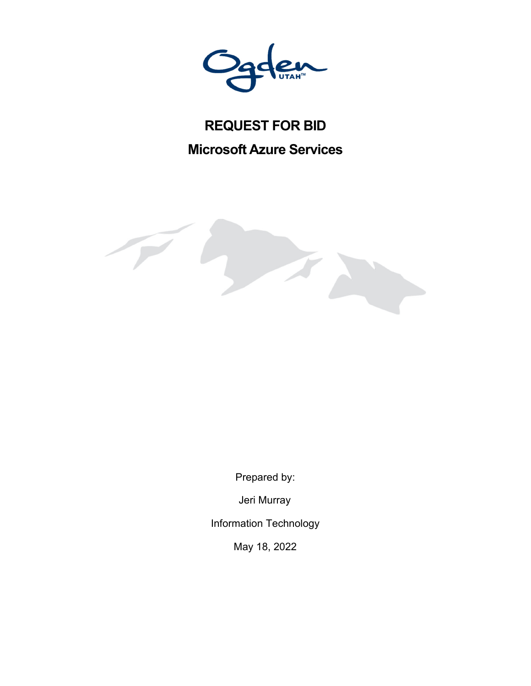# **REQUEST FOR BID**

**Microsoft Azure Services** 



Prepared by:

Jeri Murray

Information Technology

May 18, 2022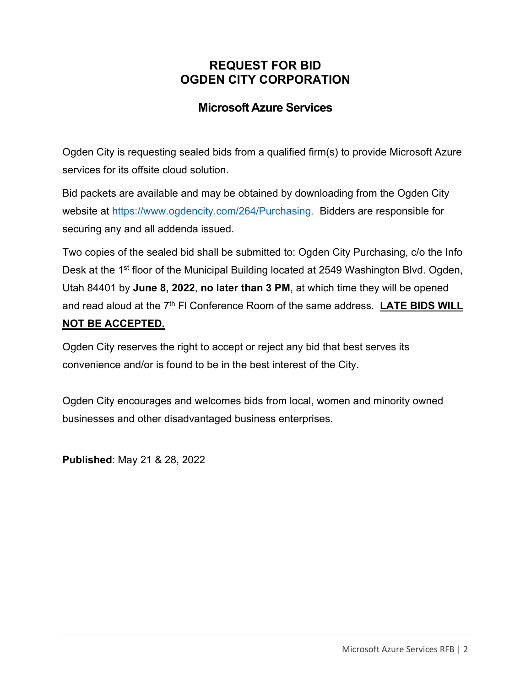## **REQUEST FOR BID OGDEN CITY CORPORATION**

# **Microsoft Azure Services**

Ogden City is requesting sealed bids from a qualified firm(s) to provide Microsoft Azure services for its offsite cloud solution.

Bid packets are available and may be obtained by downloading from the Ogden City website at https://www.ogdencity.com/264/Purchasing. Bidders are responsible for securing any and all addenda issued.

Two copies of the sealed bid shall be submitted to: Ogden City Purchasing, c/o the Info Desk at the 1<sup>st</sup> floor of the Municipal Building located at 2549 Washington Blvd. Ogden, Utah 84401 by **June 8, 2022**, **no later than 3 PM**, at which time they will be opened and read aloud at the 7<sup>th</sup> FI Conference Room of the same address. LATE BIDS WILL **NOT BE ACCEPTED.** 

Ogden City reserves the right to accept or reject any bid that best serves its convenience and/or is found to be in the best interest of the City.

Ogden City encourages and welcomes bids from local, women and minority owned businesses and other disadvantaged business enterprises.

**Published**: May 21 & 28, 2022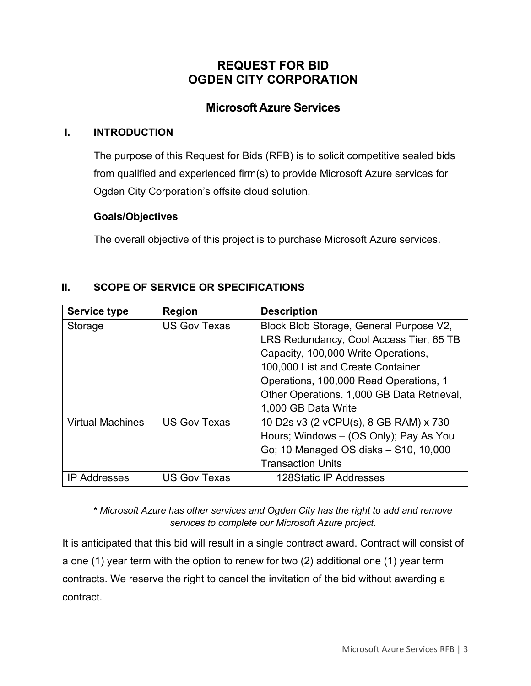# **REQUEST FOR BID OGDEN CITY CORPORATION**

## **Microsoft Azure Services**

#### **I. INTRODUCTION**

The purpose of this Request for Bids (RFB) is to solicit competitive sealed bids from qualified and experienced firm(s) to provide Microsoft Azure services for Ogden City Corporation's offsite cloud solution.

#### **Goals/Objectives**

The overall objective of this project is to purchase Microsoft Azure services.

| II. | <b>SCOPE OF SERVICE OR SPECIFICATIONS</b> |
|-----|-------------------------------------------|
|     |                                           |

| <b>Service type</b>     | <b>Region</b>       | <b>Description</b>                         |
|-------------------------|---------------------|--------------------------------------------|
| Storage                 | <b>US Gov Texas</b> | Block Blob Storage, General Purpose V2,    |
|                         |                     | LRS Redundancy, Cool Access Tier, 65 TB    |
|                         |                     | Capacity, 100,000 Write Operations,        |
|                         |                     | 100,000 List and Create Container          |
|                         |                     | Operations, 100,000 Read Operations, 1     |
|                         |                     | Other Operations. 1,000 GB Data Retrieval, |
|                         |                     | 1,000 GB Data Write                        |
| <b>Virtual Machines</b> | <b>US Gov Texas</b> | 10 D2s v3 (2 vCPU(s), 8 GB RAM) x 730      |
|                         |                     | Hours; Windows - (OS Only); Pay As You     |
|                         |                     | Go; 10 Managed OS disks - S10, 10,000      |
|                         |                     | <b>Transaction Units</b>                   |
| <b>IP Addresses</b>     | <b>US Gov Texas</b> | 128Static IP Addresses                     |

**\*** *Microsoft Azure has other services and Ogden City has the right to add and remove services to complete our Microsoft Azure project.*

It is anticipated that this bid will result in a single contract award. Contract will consist of a one (1) year term with the option to renew for two (2) additional one (1) year term contracts. We reserve the right to cancel the invitation of the bid without awarding a contract.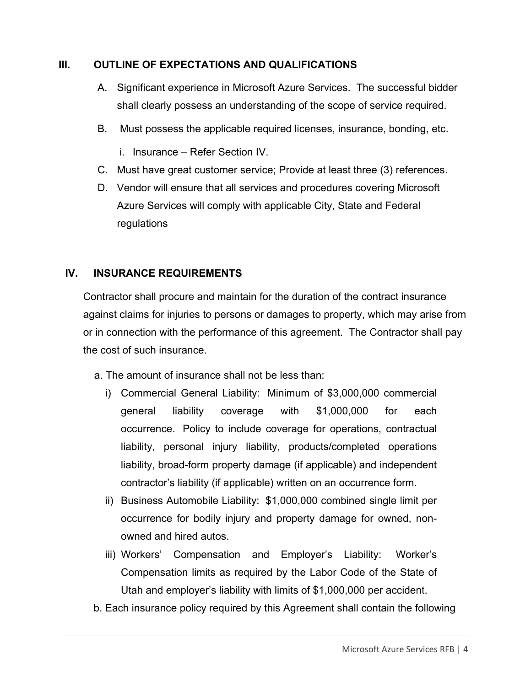### **III. OUTLINE OF EXPECTATIONS AND QUALIFICATIONS**

- A. Significant experience in Microsoft Azure Services. The successful bidder shall clearly possess an understanding of the scope of service required.
- B. Must possess the applicable required licenses, insurance, bonding, etc.
	- i. Insurance Refer Section IV.
- C. Must have great customer service; Provide at least three (3) references.
- D. Vendor will ensure that all services and procedures covering Microsoft Azure Services will comply with applicable City, State and Federal regulations

### **IV. INSURANCE REQUIREMENTS**

Contractor shall procure and maintain for the duration of the contract insurance against claims for injuries to persons or damages to property, which may arise from or in connection with the performance of this agreement. The Contractor shall pay the cost of such insurance.

- a. The amount of insurance shall not be less than:
	- i) Commercial General Liability: Minimum of \$3,000,000 commercial general liability coverage with \$1,000,000 for each occurrence. Policy to include coverage for operations, contractual liability, personal injury liability, products/completed operations liability, broad-form property damage (if applicable) and independent contractor's liability (if applicable) written on an occurrence form.
	- ii) Business Automobile Liability: \$1,000,000 combined single limit per occurrence for bodily injury and property damage for owned, nonowned and hired autos.
	- iii) Workers' Compensation and Employer's Liability: Worker's Compensation limits as required by the Labor Code of the State of Utah and employer's liability with limits of \$1,000,000 per accident.
- b. Each insurance policy required by this Agreement shall contain the following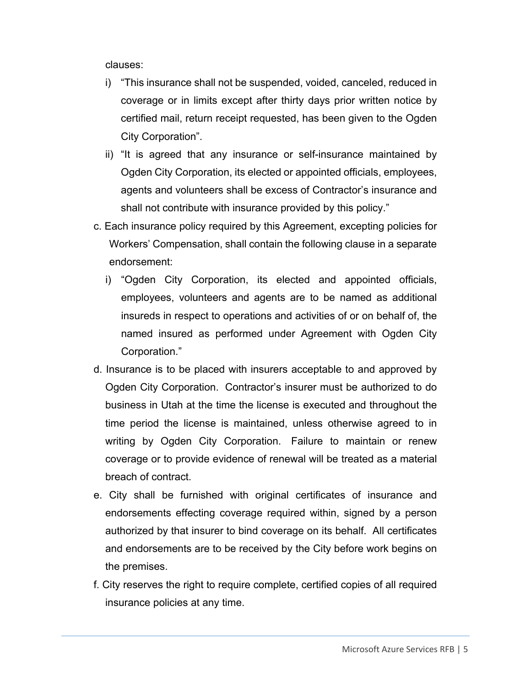clauses:

- i) "This insurance shall not be suspended, voided, canceled, reduced in coverage or in limits except after thirty days prior written notice by certified mail, return receipt requested, has been given to the Ogden City Corporation".
- ii) "It is agreed that any insurance or self-insurance maintained by Ogden City Corporation, its elected or appointed officials, employees, agents and volunteers shall be excess of Contractor's insurance and shall not contribute with insurance provided by this policy."
- c. Each insurance policy required by this Agreement, excepting policies for Workers' Compensation, shall contain the following clause in a separate endorsement:
	- i) "Ogden City Corporation, its elected and appointed officials, employees, volunteers and agents are to be named as additional insureds in respect to operations and activities of or on behalf of, the named insured as performed under Agreement with Ogden City Corporation."
- d. Insurance is to be placed with insurers acceptable to and approved by Ogden City Corporation. Contractor's insurer must be authorized to do business in Utah at the time the license is executed and throughout the time period the license is maintained, unless otherwise agreed to in writing by Ogden City Corporation. Failure to maintain or renew coverage or to provide evidence of renewal will be treated as a material breach of contract.
- e. City shall be furnished with original certificates of insurance and endorsements effecting coverage required within, signed by a person authorized by that insurer to bind coverage on its behalf. All certificates and endorsements are to be received by the City before work begins on the premises.
- f. City reserves the right to require complete, certified copies of all required insurance policies at any time.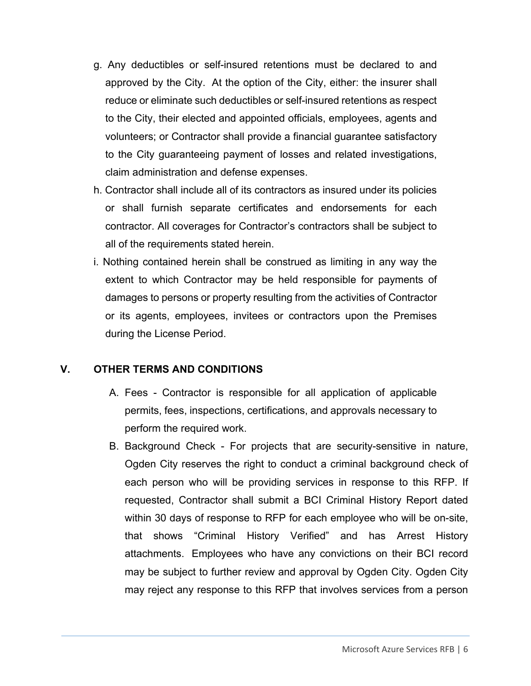- g. Any deductibles or self-insured retentions must be declared to and approved by the City. At the option of the City, either: the insurer shall reduce or eliminate such deductibles or self-insured retentions as respect to the City, their elected and appointed officials, employees, agents and volunteers; or Contractor shall provide a financial guarantee satisfactory to the City guaranteeing payment of losses and related investigations, claim administration and defense expenses.
- h. Contractor shall include all of its contractors as insured under its policies or shall furnish separate certificates and endorsements for each contractor. All coverages for Contractor's contractors shall be subject to all of the requirements stated herein.
- i. Nothing contained herein shall be construed as limiting in any way the extent to which Contractor may be held responsible for payments of damages to persons or property resulting from the activities of Contractor or its agents, employees, invitees or contractors upon the Premises during the License Period.

### **V. OTHER TERMS AND CONDITIONS**

- A. Fees Contractor is responsible for all application of applicable permits, fees, inspections, certifications, and approvals necessary to perform the required work.
- B. Background Check For projects that are security-sensitive in nature, Ogden City reserves the right to conduct a criminal background check of each person who will be providing services in response to this RFP. If requested, Contractor shall submit a BCI Criminal History Report dated within 30 days of response to RFP for each employee who will be on-site, that shows "Criminal History Verified" and has Arrest History attachments. Employees who have any convictions on their BCI record may be subject to further review and approval by Ogden City. Ogden City may reject any response to this RFP that involves services from a person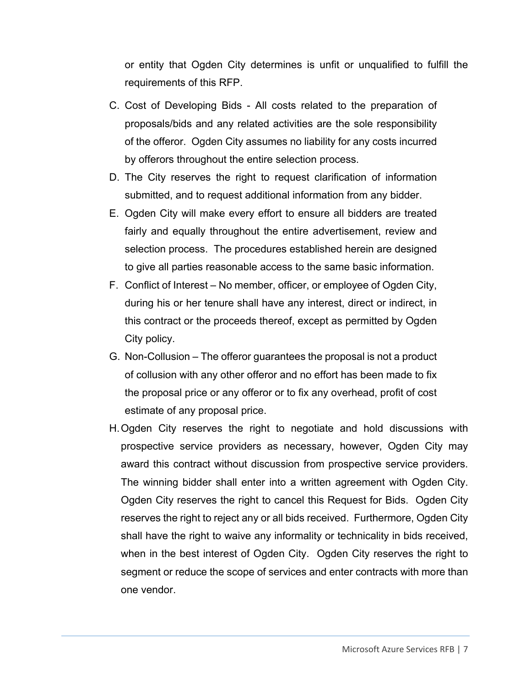or entity that Ogden City determines is unfit or unqualified to fulfill the requirements of this RFP.

- C. Cost of Developing Bids All costs related to the preparation of proposals/bids and any related activities are the sole responsibility of the offeror. Ogden City assumes no liability for any costs incurred by offerors throughout the entire selection process.
- D. The City reserves the right to request clarification of information submitted, and to request additional information from any bidder.
- E. Ogden City will make every effort to ensure all bidders are treated fairly and equally throughout the entire advertisement, review and selection process. The procedures established herein are designed to give all parties reasonable access to the same basic information.
- F. Conflict of Interest No member, officer, or employee of Ogden City, during his or her tenure shall have any interest, direct or indirect, in this contract or the proceeds thereof, except as permitted by Ogden City policy.
- G. Non-Collusion The offeror guarantees the proposal is not a product of collusion with any other offeror and no effort has been made to fix the proposal price or any offeror or to fix any overhead, profit of cost estimate of any proposal price.
- H. Ogden City reserves the right to negotiate and hold discussions with prospective service providers as necessary, however, Ogden City may award this contract without discussion from prospective service providers. The winning bidder shall enter into a written agreement with Ogden City. Ogden City reserves the right to cancel this Request for Bids. Ogden City reserves the right to reject any or all bids received. Furthermore, Ogden City shall have the right to waive any informality or technicality in bids received, when in the best interest of Ogden City. Ogden City reserves the right to segment or reduce the scope of services and enter contracts with more than one vendor.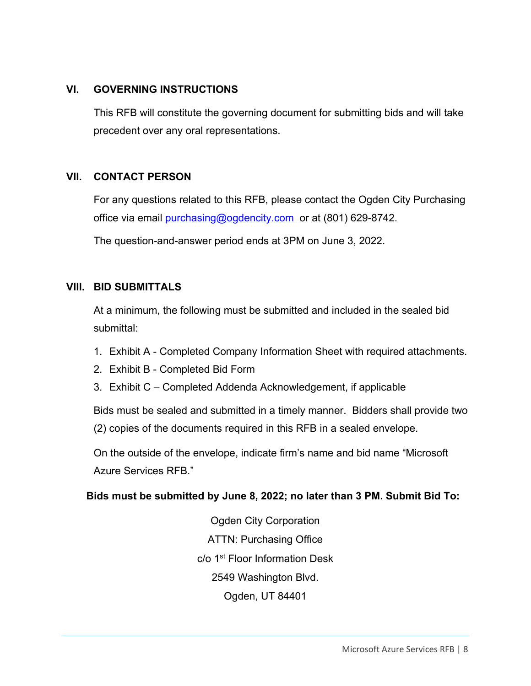### **VI. GOVERNING INSTRUCTIONS**

This RFB will constitute the governing document for submitting bids and will take precedent over any oral representations.

#### **VII. CONTACT PERSON**

For any questions related to this RFB, please contact the Ogden City Purchasing office via email purchasing@ogdencity.com or at (801) 629-8742.

The question-and-answer period ends at 3PM on June 3, 2022.

#### **VIII. BID SUBMITTALS**

At a minimum, the following must be submitted and included in the sealed bid submittal:

- 1. Exhibit A Completed Company Information Sheet with required attachments.
- 2. Exhibit B Completed Bid Form
- 3. Exhibit C Completed Addenda Acknowledgement, if applicable

Bids must be sealed and submitted in a timely manner. Bidders shall provide two (2) copies of the documents required in this RFB in a sealed envelope.

On the outside of the envelope, indicate firm's name and bid name "Microsoft Azure Services RFB."

### **Bids must be submitted by June 8, 2022; no later than 3 PM. Submit Bid To:**

Ogden City Corporation ATTN: Purchasing Office c/o 1st Floor Information Desk 2549 Washington Blvd. Ogden, UT 84401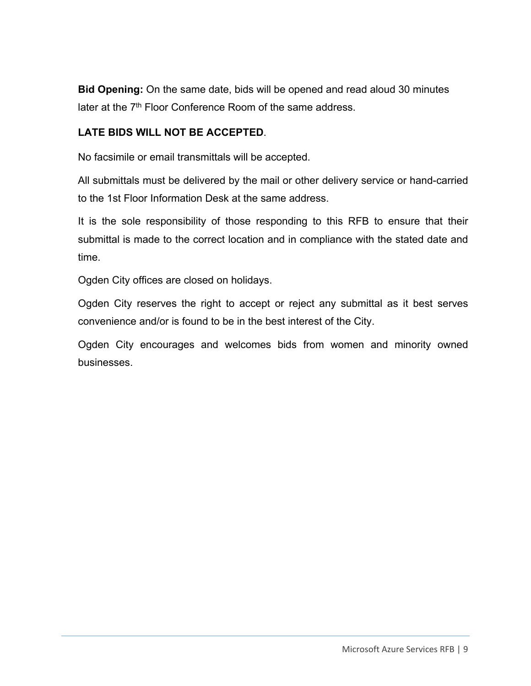**Bid Opening:** On the same date, bids will be opened and read aloud 30 minutes later at the 7<sup>th</sup> Floor Conference Room of the same address.

### **LATE BIDS WILL NOT BE ACCEPTED**.

No facsimile or email transmittals will be accepted.

All submittals must be delivered by the mail or other delivery service or hand-carried to the 1st Floor Information Desk at the same address.

It is the sole responsibility of those responding to this RFB to ensure that their submittal is made to the correct location and in compliance with the stated date and time.

Ogden City offices are closed on holidays.

Ogden City reserves the right to accept or reject any submittal as it best serves convenience and/or is found to be in the best interest of the City.

Ogden City encourages and welcomes bids from women and minority owned businesses.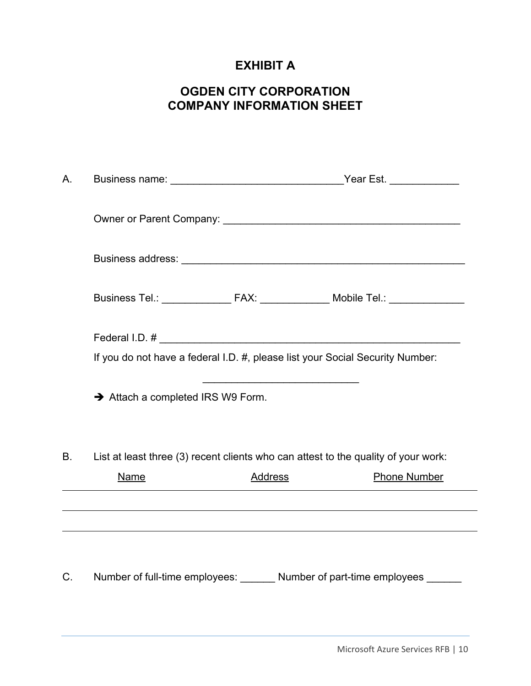# **EXHIBIT A**

# **OGDEN CITY CORPORATION COMPANY INFORMATION SHEET**

| А.          |                                 |                | Business name: _________________________________Year Est. _____________            |  |
|-------------|---------------------------------|----------------|------------------------------------------------------------------------------------|--|
|             |                                 |                |                                                                                    |  |
|             |                                 |                |                                                                                    |  |
|             |                                 |                | Business Tel.: _________________ FAX: _______________ Mobile Tel.: _____________   |  |
|             |                                 |                |                                                                                    |  |
|             |                                 |                | If you do not have a federal I.D. #, please list your Social Security Number:      |  |
|             | Attach a completed IRS W9 Form. |                |                                                                                    |  |
| В.          |                                 |                | List at least three (3) recent clients who can attest to the quality of your work: |  |
|             | Name                            | <b>Address</b> | <b>Phone Number</b>                                                                |  |
|             |                                 |                |                                                                                    |  |
|             |                                 |                |                                                                                    |  |
|             |                                 |                |                                                                                    |  |
| $C_{\cdot}$ |                                 |                | Number of full-time employees: _______ Number of part-time employees ______        |  |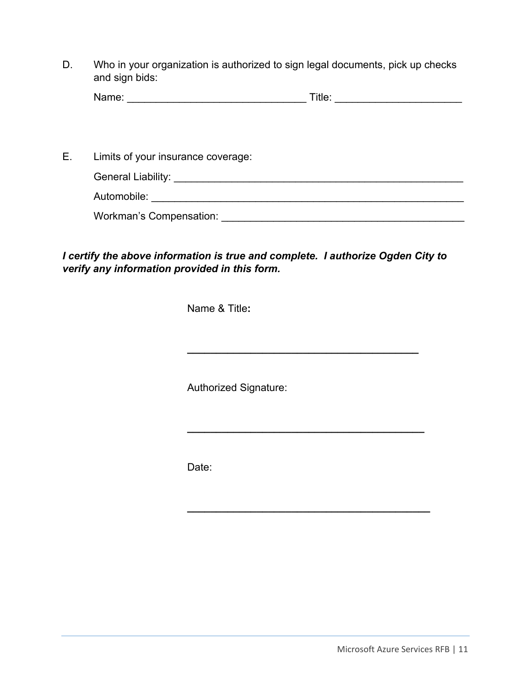D. Who in your organization is authorized to sign legal documents, pick up checks and sign bids:

| <b>Na</b><br>$\frac{1}{2} \left( \frac{1}{2} \right) \left( \frac{1}{2} \right) \left( \frac{1}{2} \right) \left( \frac{1}{2} \right) \left( \frac{1}{2} \right) \left( \frac{1}{2} \right) \left( \frac{1}{2} \right) \left( \frac{1}{2} \right) \left( \frac{1}{2} \right) \left( \frac{1}{2} \right) \left( \frac{1}{2} \right) \left( \frac{1}{2} \right) \left( \frac{1}{2} \right) \left( \frac{1}{2} \right) \left( \frac{1}{2} \right) \left( \frac{1}{2} \right) \left( \frac$<br>.<br>. |  | itle: |  |
|---------------------------------------------------------------------------------------------------------------------------------------------------------------------------------------------------------------------------------------------------------------------------------------------------------------------------------------------------------------------------------------------------------------------------------------------------------------------------------------------------|--|-------|--|
|---------------------------------------------------------------------------------------------------------------------------------------------------------------------------------------------------------------------------------------------------------------------------------------------------------------------------------------------------------------------------------------------------------------------------------------------------------------------------------------------------|--|-------|--|

E. Limits of your insurance coverage:

| <b>General Liability:</b> |  |  |
|---------------------------|--|--|
| Automobile:               |  |  |

**\_\_\_\_\_\_\_\_\_\_\_\_\_\_\_\_\_\_\_\_\_\_\_\_\_\_\_\_\_\_\_\_\_\_\_\_\_\_\_\_** 

**\_\_\_\_\_\_\_\_\_\_\_\_\_\_\_\_\_\_\_\_\_\_\_\_\_\_\_\_\_\_\_\_\_\_\_\_\_\_\_\_\_** 

**\_\_\_\_\_\_\_\_\_\_\_\_\_\_\_\_\_\_\_\_\_\_\_\_\_\_\_\_\_\_\_\_\_\_\_\_\_\_\_\_\_\_** 

Workman's Compensation: \_\_\_\_\_\_\_\_\_\_\_\_\_\_\_\_\_\_\_\_\_\_\_\_\_\_\_\_\_\_\_\_\_\_\_\_\_\_\_\_\_\_

*I certify the above information is true and complete. I authorize Ogden City to verify any information provided in this form.* 

Name & Title**:** 

Authorized Signature:

Date: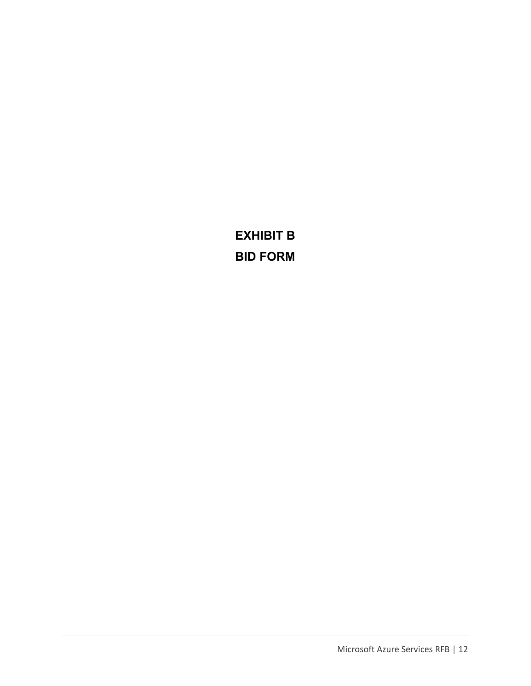**EXHIBIT B BID FORM**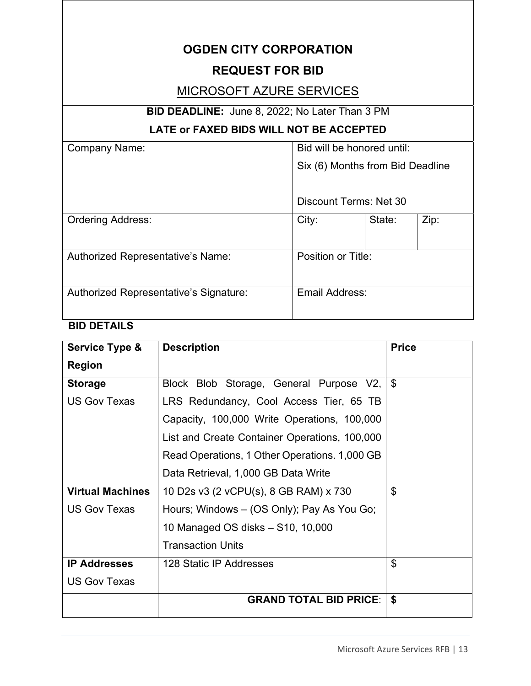# **OGDEN CITY CORPORATION**

### **REQUEST FOR BID**

## MICROSOFT AZURE SERVICES

# **BID DEADLINE:** June 8, 2022; No Later Than 3 PM

### **LATE or FAXED BIDS WILL NOT BE ACCEPTED**

| <b>Company Name:</b>                   | Bid will be honored until:       |        |      |  |
|----------------------------------------|----------------------------------|--------|------|--|
|                                        | Six (6) Months from Bid Deadline |        |      |  |
|                                        |                                  |        |      |  |
|                                        | Discount Terms: Net 30           |        |      |  |
| <b>Ordering Address:</b>               | City:                            | State: | Zip: |  |
|                                        |                                  |        |      |  |
| Authorized Representative's Name:      | Position or Title:               |        |      |  |
|                                        |                                  |        |      |  |
| Authorized Representative's Signature: | Email Address:                   |        |      |  |
|                                        |                                  |        |      |  |

# **BID DETAILS**

| Service Type &          | <b>Description</b>                            | <b>Price</b>   |
|-------------------------|-----------------------------------------------|----------------|
| <b>Region</b>           |                                               |                |
| <b>Storage</b>          | Block Blob Storage, General Purpose V2,       | \$             |
| <b>US Gov Texas</b>     | LRS Redundancy, Cool Access Tier, 65 TB       |                |
|                         | Capacity, 100,000 Write Operations, 100,000   |                |
|                         | List and Create Container Operations, 100,000 |                |
|                         | Read Operations, 1 Other Operations. 1,000 GB |                |
|                         | Data Retrieval, 1,000 GB Data Write           |                |
| <b>Virtual Machines</b> | 10 D2s v3 (2 vCPU(s), 8 GB RAM) x 730         | \$             |
| <b>US Gov Texas</b>     | Hours; Windows – (OS Only); Pay As You Go;    |                |
|                         | 10 Managed OS disks - S10, 10,000             |                |
|                         | <b>Transaction Units</b>                      |                |
| <b>IP Addresses</b>     | 128 Static IP Addresses                       | $\mathfrak{L}$ |
| <b>US Gov Texas</b>     |                                               |                |
|                         | <b>GRAND TOTAL BID PRICE:</b>                 | \$             |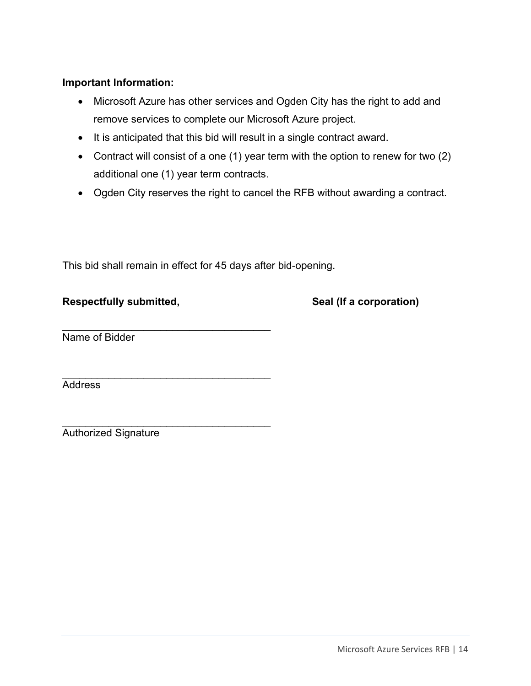### **Important Information:**

- Microsoft Azure has other services and Ogden City has the right to add and remove services to complete our Microsoft Azure project.
- It is anticipated that this bid will result in a single contract award.
- Contract will consist of a one (1) year term with the option to renew for two (2) additional one (1) year term contracts.
- Ogden City reserves the right to cancel the RFB without awarding a contract.

This bid shall remain in effect for 45 days after bid-opening.

 $\mathcal{L}_\text{max}$  , and the set of the set of the set of the set of the set of the set of the set of the set of the set of the set of the set of the set of the set of the set of the set of the set of the set of the set of the

\_\_\_\_\_\_\_\_\_\_\_\_\_\_\_\_\_\_\_\_\_\_\_\_\_\_\_\_\_\_\_\_\_\_\_\_

### **Respectfully submitted, The Contract Contract Seal (If a corporation)**

Name of Bidder

**Address** 

\_\_\_\_\_\_\_\_\_\_\_\_\_\_\_\_\_\_\_\_\_\_\_\_\_\_\_\_\_\_\_\_\_\_\_\_ Authorized Signature